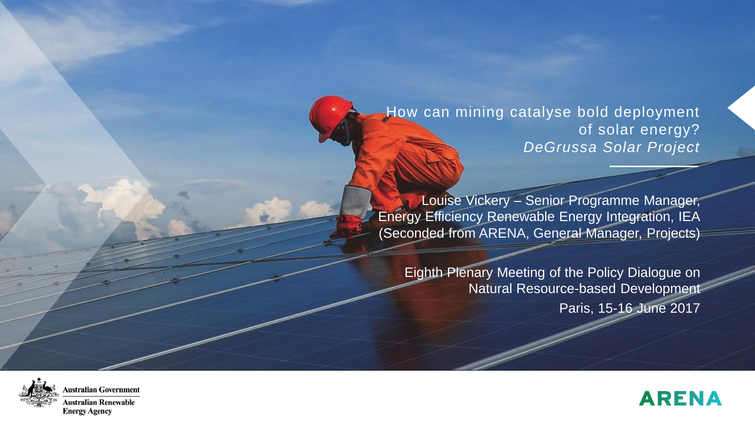How can mining catalyse bold deployment of solar energy? *DeGrussa Solar Project*

Louise Vickery – Senior Programme Manager, Energy Efficiency Renewable Energy Integration, IEA (Seconded from ARENA, General Manager, Projects)

Eighth Plenary Meeting of the Policy Dialogue on Natural Resource-based Development Paris, 15-16 June 2017



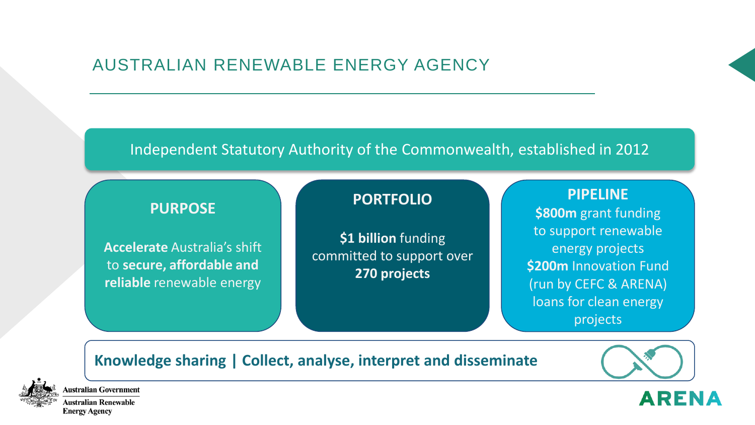## AUSTRALIAN RENEWABLE ENERGY AGENCY

#### Independent Statutory Authority of the Commonwealth, established in 2012

### **PURPOSE**

**Accelerate** Australia's shift to **secure, affordable and reliable** renewable energy

#### **PORTFOLIO**

**\$1 billion** funding committed to support over **270 projects**

**PIPELINE \$800m** grant funding to support renewable energy projects **\$200m** Innovation Fund (run by CEFC & ARENA) loans for clean energy projects

### **Knowledge sharing | Collect, analyse, interpret and disseminate**



ustralian Government ustralian Renewable

**Energy Agency** 

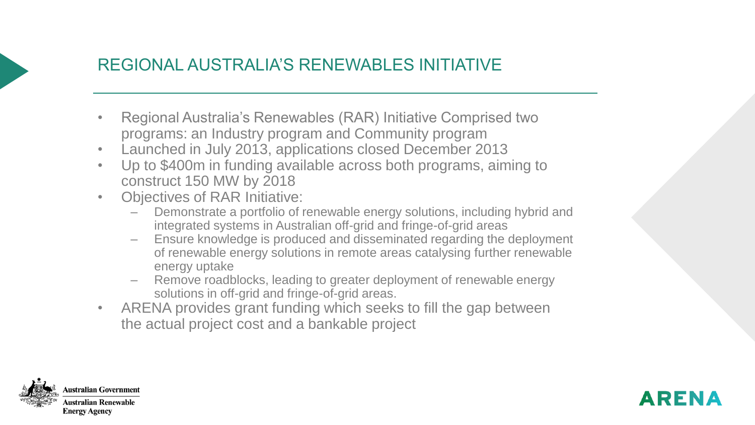# REGIONAL AUSTRALIA'S RENEWABLES INITIATIVE

- Regional Australia's Renewables (RAR) Initiative Comprised two programs: an Industry program and Community program
- Launched in July 2013, applications closed December 2013
- Up to \$400m in funding available across both programs, aiming to construct 150 MW by 2018
- Objectives of RAR Initiative:
	- Demonstrate a portfolio of renewable energy solutions, including hybrid and integrated systems in Australian off-grid and fringe-of-grid areas
	- Ensure knowledge is produced and disseminated regarding the deployment of renewable energy solutions in remote areas catalysing further renewable energy uptake
	- Remove roadblocks, leading to greater deployment of renewable energy solutions in off-grid and fringe-of-grid areas.
- ARENA provides grant funding which seeks to fill the gap between the actual project cost and a bankable project



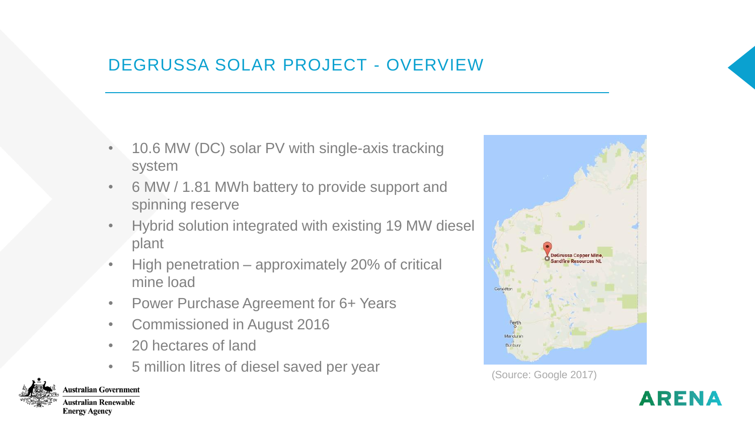# DEGRUSSA SOLAR PROJECT - OVERVIEW

- 10.6 MW (DC) solar PV with single-axis tracking system
- 6 MW / 1.81 MWh battery to provide support and spinning reserve
- Hybrid solution integrated with existing 19 MW diesel plant
- High penetration approximately 20% of critical mine load
- Power Purchase Agreement for 6+ Years
- Commissioned in August 2016
- 20 hectares of land

**Australian Government** 

**Australian Renewable Energy Agency** 

• 5 million litres of diesel saved per year (Source: Google 2017)



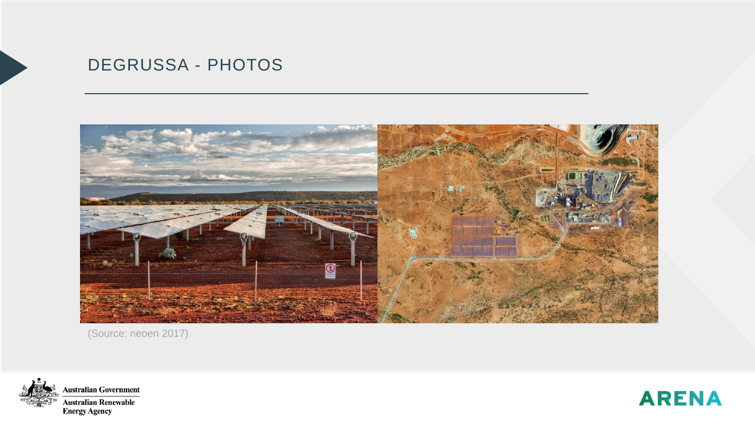# DEGRUSSA - PHOTOS



(Source: neoen 2017)



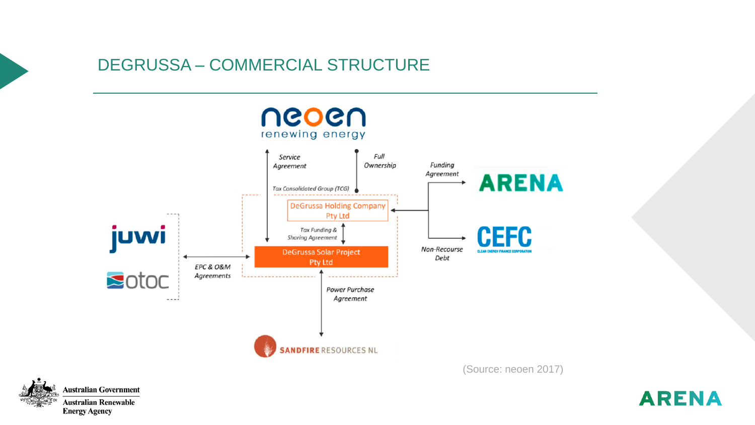## DEGRUSSA – COMMERCIAL STRUCTURE





**ARENA**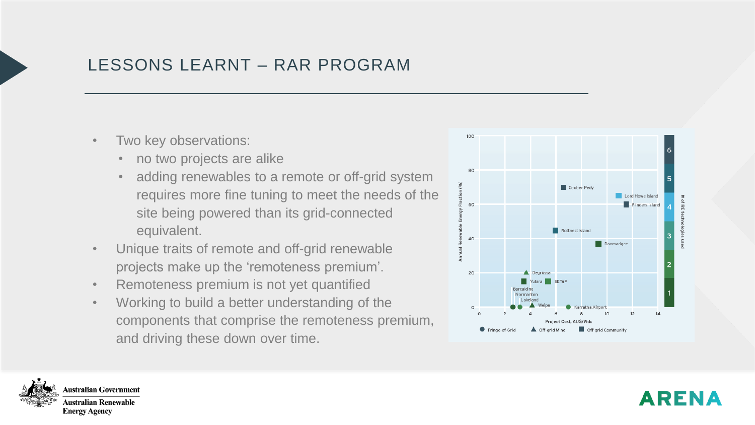# LESSONS LEARNT – RAR PROGRAM

- Two key observations:
	- no two projects are alike
	- adding renewables to a remote or off-grid system requires more fine tuning to meet the needs of the site being powered than its grid-connected equivalent.
- Unique traits of remote and off-grid renewable projects make up the 'remoteness premium'.
- Remoteness premium is not yet quantified
- Working to build a better understanding of the components that comprise the remoteness premium, and driving these down over time.